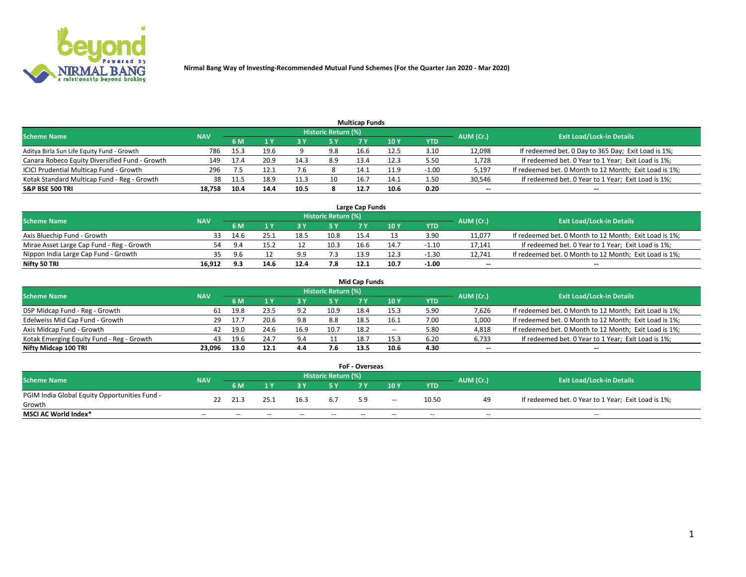

| <b>Multicap Funds</b>                          |            |      |                           |      |                     |      |      |         |                          |                                                        |  |  |  |  |
|------------------------------------------------|------------|------|---------------------------|------|---------------------|------|------|---------|--------------------------|--------------------------------------------------------|--|--|--|--|
| Scheme Name                                    | <b>NAV</b> |      |                           |      | Historic Return (%) |      |      |         | AUM (Cr.)                | <b>Exit Load/Lock-in Details</b>                       |  |  |  |  |
|                                                |            | 6 M  | $\mathbf{A}$ $\mathbf{V}$ |      | 5 Y                 |      | 10 Y | YTD     |                          |                                                        |  |  |  |  |
| Aditya Birla Sun Life Equity Fund - Growth     | 786        | 15.3 | 19.6                      |      | 9.8                 | 16.6 | 12.5 | 3.10    | 12,098                   | If redeemed bet. 0 Day to 365 Day; Exit Load is 1%;    |  |  |  |  |
| Canara Robeco Equity Diversified Fund - Growth | 149        | 17.4 | 20.9                      | 14.3 | 8.9                 | 13.4 | 12.3 | 5.50    | 1,728                    | If redeemed bet. 0 Year to 1 Year; Exit Load is 1%;    |  |  |  |  |
| ICICI Prudential Multicap Fund - Growth        | 296        |      | 12.1                      |      |                     | 14.1 | 11.9 | $-1.00$ | 5,197                    | If redeemed bet. 0 Month to 12 Month; Exit Load is 1%; |  |  |  |  |
| Kotak Standard Multicap Fund - Reg - Growth    | 38         | 11.5 | 18.9                      |      | 10                  | 16.7 | 14.1 | 1.50    | 30,546                   | If redeemed bet. 0 Year to 1 Year; Exit Load is 1%;    |  |  |  |  |
| <b>S&amp;P BSE 500 TRI</b>                     | 18.758     | 10.4 | 14.4                      | 10.5 |                     | 12.7 | 10.6 | 0.20    | $\overline{\phantom{a}}$ | $-$                                                    |  |  |  |  |

| Large Cap Funds                           |            |           |                                  |      |      |      |      |         |        |                                                        |  |  |  |  |
|-------------------------------------------|------------|-----------|----------------------------------|------|------|------|------|---------|--------|--------------------------------------------------------|--|--|--|--|
| Scheme Name                               | <b>NAV</b> | AUM (Cr.) | <b>Exit Load/Lock-in Details</b> |      |      |      |      |         |        |                                                        |  |  |  |  |
|                                           |            | 6 M       |                                  |      | 5 Y  |      | 10Y  | YTD     |        |                                                        |  |  |  |  |
| Axis Bluechip Fund - Growth               |            | 14.6      |                                  | 18.5 | 10.8 | 15.4 |      | 3.90    | 11,077 | If redeemed bet. 0 Month to 12 Month; Exit Load is 1%; |  |  |  |  |
| Mirae Asset Large Cap Fund - Reg - Growth | 54         |           | 15.2                             |      | 10.3 | 16.6 | 14.  | $-1.10$ | 17,141 | If redeemed bet. 0 Year to 1 Year; Exit Load is 1%;    |  |  |  |  |
| Nippon India Large Cap Fund - Growth      |            |           |                                  | a a  | 7.3  | 13.9 | 12.3 | $-1.30$ | 12,741 | If redeemed bet. 0 Month to 12 Month; Exit Load is 1%; |  |  |  |  |
| Nifty 50 TRI                              | 16.912     | 9.3       | 14.6                             | 12.4 | 7.8  | 12.1 | 10.7 | $-1.00$ | $\sim$ | $\sim$                                                 |  |  |  |  |

|                                           |            |      |      |      |                     | <b>Mid Cap Funds</b> |                 |            |           |                                                        |
|-------------------------------------------|------------|------|------|------|---------------------|----------------------|-----------------|------------|-----------|--------------------------------------------------------|
| <b>Scheme Name</b>                        | <b>NAV</b> |      |      |      | Historic Return (%) |                      |                 |            | AUM (Cr.) | <b>Exit Load/Lock-in Details</b>                       |
|                                           |            | 6 M  |      |      |                     |                      | 10 <sub>Y</sub> | <b>YTD</b> |           |                                                        |
| DSP Midcap Fund - Reg - Growth            | 61         | 19.8 | 23.5 | 9.2  | 10.9                | 18.4                 | 15.3            | 5.90       | 7,626     | If redeemed bet. 0 Month to 12 Month; Exit Load is 1%; |
| Edelweiss Mid Cap Fund - Growth           | 29         | 17.  | 20.6 | 9.8  | 8.8                 | 18.5                 | 16.1            | 7.00       | 1,000     | If redeemed bet. 0 Month to 12 Month; Exit Load is 1%; |
| Axis Midcap Fund - Growth                 | 42         | 19.0 | 24.6 | 16.9 | 10.7                | 18.2                 | $\sim$          | 5.80       | 4,818     | If redeemed bet. 0 Month to 12 Month; Exit Load is 1%; |
| Kotak Emerging Equity Fund - Reg - Growth | 43         | 19.6 | 24.7 | 9.4  |                     | 18.7                 | 15.3            | 6.20       | 6,733     | If redeemed bet. 0 Year to 1 Year; Exit Load is 1%;    |
| Nifty Midcap 100 TRI                      | 23.096     | 13.0 | 12.1 | 4.4  | 7.6                 | 13.5                 | 10.6            | 4.30       | $\sim$    | $- -$                                                  |

| <b>FoF - Overseas</b>                         |            |           |       |       |                            |     |        |            |           |                                                     |  |  |  |
|-----------------------------------------------|------------|-----------|-------|-------|----------------------------|-----|--------|------------|-----------|-----------------------------------------------------|--|--|--|
| <b>Scheme Name</b>                            | <b>NAV</b> |           |       |       | <b>Historic Return (%)</b> |     |        |            | AUM (Cr.) | <b>Exit Load/Lock-in Details</b>                    |  |  |  |
|                                               |            | <b>6M</b> |       |       |                            |     | 10Y    | <b>YTD</b> |           |                                                     |  |  |  |
| PGIM India Global Equity Opportunities Fund - | 22         | 21.3      |       | 16.3  | 6.7                        | 5.9 | $\sim$ | 10.50      | 49        | If redeemed bet. 0 Year to 1 Year; Exit Load is 1%; |  |  |  |
| Growth                                        |            |           |       |       |                            |     |        |            |           |                                                     |  |  |  |
| <b>MSCI AC World Index*</b>                   | $- -$      | $- -$     | $- -$ | $- -$ | $- -$                      |     | $- -$  | $- -$      | $- -$     | $- -$                                               |  |  |  |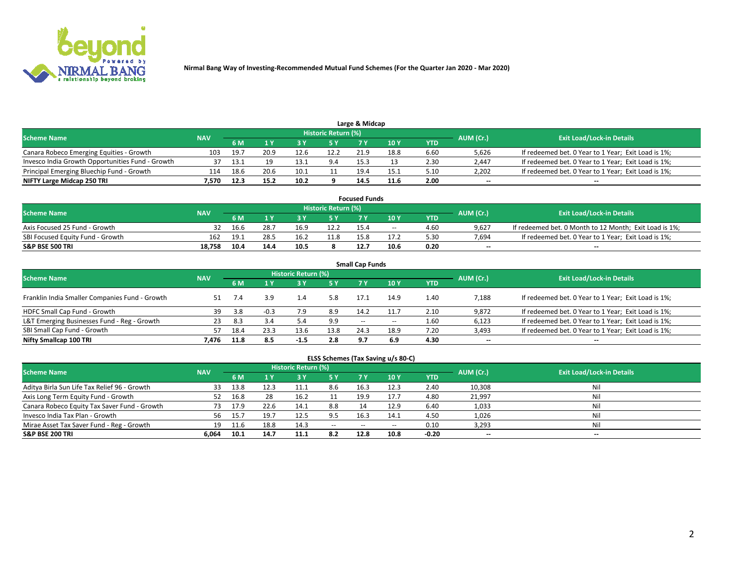

| Large & Midcap                                   |            |      |      |      |                     |      |      |      |           |                                                     |  |  |  |
|--------------------------------------------------|------------|------|------|------|---------------------|------|------|------|-----------|-----------------------------------------------------|--|--|--|
| <b>Scheme Name</b>                               | <b>NAV</b> |      |      |      | Historic Return (%) |      |      |      | AUM (Cr.) | <b>Exit Load/Lock-in Details</b>                    |  |  |  |
|                                                  |            | 6 M  |      |      |                     |      | 10 Y | YTD  |           |                                                     |  |  |  |
| Canara Robeco Emerging Equities - Growth         | 103        | 19.7 | 20.9 | 12.6 | 12.2                | 21.9 | 18.8 | 6.60 | 5,626     | If redeemed bet. 0 Year to 1 Year; Exit Load is 1%; |  |  |  |
| Invesco India Growth Opportunities Fund - Growth |            | 13.1 |      | 13.1 | 9.4                 | 15.3 |      | 2.30 | 2,447     | If redeemed bet. 0 Year to 1 Year; Exit Load is 1%; |  |  |  |
| Principal Emerging Bluechip Fund - Growth        | 114        | 18.6 | 20.6 | 10.1 |                     | 19.4 | 15.1 | 5.10 | 2.202     | If redeemed bet. 0 Year to 1 Year; Exit Load is 1%; |  |  |  |
| NIFTY Large Midcap 250 TRI                       | 7.570      | 12.3 | 15.2 | 10.2 |                     | 14.5 | 11.6 | 2.00 | $\sim$    | $- -$                                               |  |  |  |

| <b>Focused Funds</b>             |                                                                      |      |      |      |      |      |       |            |        |                                                        |  |  |  |  |  |
|----------------------------------|----------------------------------------------------------------------|------|------|------|------|------|-------|------------|--------|--------------------------------------------------------|--|--|--|--|--|
|                                  | Historic Return (%)<br>AUM (Cr.)<br><b>Scheme Name</b><br><b>NAV</b> |      |      |      |      |      |       |            |        |                                                        |  |  |  |  |  |
|                                  |                                                                      | 6 M  |      |      |      |      | 10 Y  | <b>YTD</b> |        | <b>Exit Load/Lock-in Details</b>                       |  |  |  |  |  |
| Axis Focused 25 Fund - Growth    |                                                                      | 16.b | 28.7 | 16.9 | 12.2 | 15.4 | $- -$ | 4.60       | 9.627  | If redeemed bet. 0 Month to 12 Month; Exit Load is 1%; |  |  |  |  |  |
| SBI Focused Equity Fund - Growth | 162                                                                  |      | 28.5 |      | 11.8 | 15.8 | 17.2  | 5.30       | 7.694  | If redeemed bet. 0 Year to 1 Year; Exit Load is 1%;    |  |  |  |  |  |
| <b>S&amp;P BSE 500 TRI</b>       | 18.758                                                               |      | 14.4 |      |      | 12.7 | 10.6  | 0.20       | $\sim$ | $- -$                                                  |  |  |  |  |  |

| <b>Small Cap Funds</b>                         |            |      |        |                     |      |       |       |            |                          |                                                     |  |  |  |
|------------------------------------------------|------------|------|--------|---------------------|------|-------|-------|------------|--------------------------|-----------------------------------------------------|--|--|--|
| <b>Scheme Name</b>                             | <b>NAV</b> |      |        | Historic Return (%) |      |       |       |            | AUM (Cr.)                | <b>Exit Load/Lock-in Details</b>                    |  |  |  |
|                                                |            | 6 M  |        |                     | 5 Y  | 7 Y   | 10Y   | <b>YTD</b> |                          |                                                     |  |  |  |
| Franklin India Smaller Companies Fund - Growth | 51         |      | 3.9    | 1.4                 | 5.8  | 17.1  | 14.9  | 1.40       | 7,188                    | If redeemed bet. 0 Year to 1 Year; Exit Load is 1%; |  |  |  |
| HDFC Small Cap Fund - Growth                   | 39         | 3.8  | $-0.3$ |                     | 8.9  | 14.2  | 11.7  | 2.10       | 9,872                    | If redeemed bet. 0 Year to 1 Year; Exit Load is 1%; |  |  |  |
| L&T Emerging Businesses Fund - Reg - Growth    | 23         | 8.3  | 3.4    | 5.4                 | 9.9  | $- -$ | $- -$ | 1.60       | 6,123                    | If redeemed bet. 0 Year to 1 Year; Exit Load is 1%; |  |  |  |
| SBI Small Cap Fund - Growth                    | 57         | 18.4 | 23.3   | 13.6                | 13.8 | 24.3  | 18.9  | 7.20       | 3,493                    | If redeemed bet. 0 Year to 1 Year; Exit Load is 1%; |  |  |  |
| Nifty Smallcap 100 TRI                         | 7.476      | 11.8 | 8.5    | $-1.5$              | 2.8  | 9.7   | 6.9   | 4.30       | $\overline{\phantom{a}}$ | $\overline{\phantom{a}}$                            |  |  |  |

## **ELSS Schemes (Tax Saving u/s 80-C)**

| <b>Scheme Name</b>                           | <b>NAV</b> |      |      | <b>Historic Return (%)</b> |           |                          |        |         | AUM (Cr.) | <b>Exit Load/Lock-in Details</b> |
|----------------------------------------------|------------|------|------|----------------------------|-----------|--------------------------|--------|---------|-----------|----------------------------------|
|                                              |            | 6 M  | 4 Y  | 73 Y                       | <b>5Y</b> | 7 Y                      | $-10V$ | YTD     |           |                                  |
| Aditya Birla Sun Life Tax Relief 96 - Growth |            | 13.8 |      |                            | 8.6       | 16.3                     | 12.3   | 2.40    | 10,308    | Nil                              |
| Axis Long Term Equity Fund - Growth          | 52         | 16.8 | 28   | 16.2                       |           | 19.9                     | 17.7   | 4.80    | 21,997    | Nil                              |
| Canara Robeco Equity Tax Saver Fund - Growth |            | 17.9 | 22.6 | 14.1                       | 8.8       |                          | 12.9   | 6.40    | 1,033     | Nil                              |
| Invesco India Tax Plan - Growth              | 56         | 15.7 | 19.7 | 12.5                       | 9.5       | 16.3                     | 14.1   | 4.50    | 1,026     | Nil                              |
| Mirae Asset Tax Saver Fund - Reg - Growth    | 19         |      | 18.8 | 14.3                       | $\sim$    | $\overline{\phantom{a}}$ | --     | 0.10    | 3,293     | Nil                              |
| S&P BSE 200 TRI                              | 6,064      | 10.1 | 14.7 | 11.1                       | 8.2       | 12.8                     | 10.8   | $-0.20$ | $\sim$    | $- -$                            |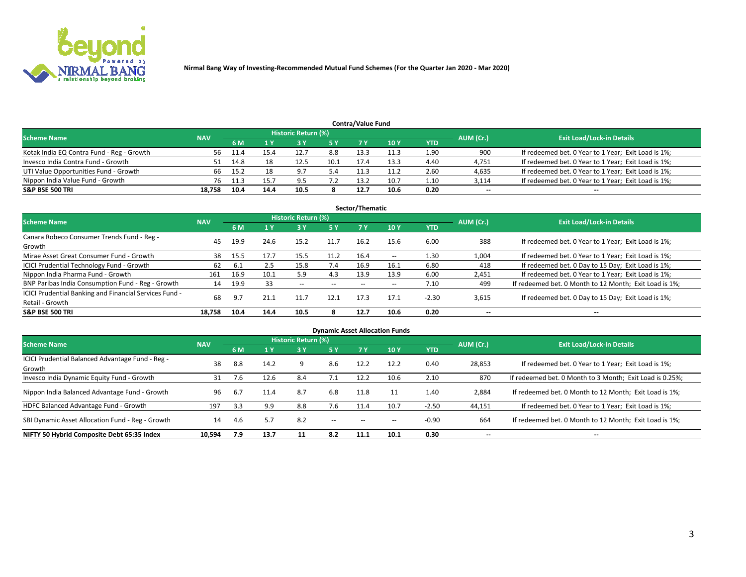

| <b>Contra/Value Fund</b><br>Historic Return (%) |            |       |      |      |      |           |                                  |      |        |                                                     |  |  |  |  |
|-------------------------------------------------|------------|-------|------|------|------|-----------|----------------------------------|------|--------|-----------------------------------------------------|--|--|--|--|
| <b>Scheme Name</b>                              | <b>NAV</b> |       |      |      |      | AUM (Cr.) | <b>Exit Load/Lock-in Details</b> |      |        |                                                     |  |  |  |  |
|                                                 |            | 6 M   |      |      | 5 Y  | 7 V       | 10Y                              | YTD  |        |                                                     |  |  |  |  |
| Kotak India EQ Contra Fund - Reg - Growth       | 56         | -11.4 | 15.4 | 12.7 | 8.8  | 13.3      | 11.3                             | 1.90 | 900    | If redeemed bet. 0 Year to 1 Year; Exit Load is 1%; |  |  |  |  |
| Invesco India Contra Fund - Growth              |            | 14.8  |      | 12.5 | 10.1 | 17.4      | 13.3                             | 4.40 | 4,751  | If redeemed bet. 0 Year to 1 Year; Exit Load is 1%; |  |  |  |  |
| UTI Value Opportunities Fund - Growth           | 66         | 15.2  |      | Q    | 5.4  |           | 11.2                             | 2.60 | 4,635  | If redeemed bet. 0 Year to 1 Year; Exit Load is 1%; |  |  |  |  |
| Nippon India Value Fund - Growth                | 76         | 11.3  | 15.  | ا ۵  |      | 13.2      | 10.7                             | 1.10 | 3,114  | If redeemed bet. 0 Year to 1 Year; Exit Load is 1%; |  |  |  |  |
| <b>S&amp;P BSE 500 TRI</b>                      | 18.758     | 10.4  | 14.4 | 10.5 |      | 12.7      | 10.6                             | 0.20 | $\sim$ | $- -$                                               |  |  |  |  |

| Sector/Thematic                                                           |            |      |      |                     |           |       |                          |            |                          |                                                        |  |  |  |  |
|---------------------------------------------------------------------------|------------|------|------|---------------------|-----------|-------|--------------------------|------------|--------------------------|--------------------------------------------------------|--|--|--|--|
| <b>Scheme Name</b>                                                        | <b>NAV</b> |      |      | Historic Return (%) |           |       |                          |            | AUM (Cr.)                | <b>Exit Load/Lock-in Details</b>                       |  |  |  |  |
|                                                                           |            | 6 M  | 1 Y  | 73 Y                | <b>5Y</b> | 7 Y   | 10Y                      | <b>YTD</b> |                          |                                                        |  |  |  |  |
| Canara Robeco Consumer Trends Fund - Reg -<br>Growth                      | 45         | 19.9 | 24.6 | 15.2                | 11.7      | 16.2  | 15.6                     | 6.00       | 388                      | If redeemed bet. 0 Year to 1 Year; Exit Load is 1%;    |  |  |  |  |
| Mirae Asset Great Consumer Fund - Growth                                  | 38         | 15.5 | 17.7 | 15.5                | 11.2      | 16.4  | $\overline{\phantom{a}}$ | 1.30       | 1,004                    | If redeemed bet. 0 Year to 1 Year; Exit Load is 1%;    |  |  |  |  |
| ICICI Prudential Technology Fund - Growth                                 | 62         | 6.1  | 2.5  | 15.8                | 7.4       | 16.9  | 16.1                     | 6.80       | 418                      | If redeemed bet. 0 Day to 15 Day; Exit Load is 1%;     |  |  |  |  |
| Nippon India Pharma Fund - Growth                                         | 161        | 16.9 | 10.1 | 5.9                 | 4.3       | 13.9  | 13.9                     | 6.00       | 2,451                    | If redeemed bet. 0 Year to 1 Year; Exit Load is 1%;    |  |  |  |  |
| BNP Paribas India Consumption Fund - Reg - Growth                         | 14         | 19.9 | 33   | $- -$               | $- -$     | $- -$ | $- -$                    | 7.10       | 499                      | If redeemed bet. 0 Month to 12 Month; Exit Load is 1%; |  |  |  |  |
| ICICI Prudential Banking and Financial Services Fund -<br>Retail - Growth | 68         | 9.7  | 21.1 | 11.7                | 12.1      | 17.3  | 17.1                     | $-2.30$    | 3,615                    | If redeemed bet. 0 Day to 15 Day; Exit Load is 1%;     |  |  |  |  |
| <b>S&amp;P BSE 500 TRI</b>                                                | 18.758     | 10.4 | 14.4 | 10.5                |           | 12.7  | 10.6                     | 0.20       | $\overline{\phantom{a}}$ | $\overline{\phantom{a}}$                               |  |  |  |  |

| <b>Dynamic Asset Allocation Funds</b>                      |            |     |                                                                 |                     |               |                          |       |         |        |                                                          |  |  |  |
|------------------------------------------------------------|------------|-----|-----------------------------------------------------------------|---------------------|---------------|--------------------------|-------|---------|--------|----------------------------------------------------------|--|--|--|
| <b>Scheme Name</b>                                         | <b>NAV</b> |     |                                                                 | Historic Return (%) |               |                          |       |         |        | <b>Exit Load/Lock-in Details</b>                         |  |  |  |
|                                                            |            | 6 M | AUM (Cr.)<br>10 <sub>Y</sub><br><b>YTD</b><br>7 Y<br>3 Y<br>5 Y |                     |               |                          |       |         |        |                                                          |  |  |  |
| ICICI Prudential Balanced Advantage Fund - Reg -<br>Growth | 38         | 8.8 | 14.2                                                            | -9                  | 8.6           | 12.2                     | 12.2  | 0.40    | 28,853 | If redeemed bet. 0 Year to 1 Year; Exit Load is 1%;      |  |  |  |
| Invesco India Dynamic Equity Fund - Growth                 | 31         | 7.6 | 12.6                                                            | 8.4                 | 7.1           | 12.2                     | 10.6  | 2.10    | 870    | If redeemed bet. 0 Month to 3 Month; Exit Load is 0.25%; |  |  |  |
| Nippon India Balanced Advantage Fund - Growth              | 96         | 6.7 | 11.4                                                            | 8.7                 | 6.8           | 11.8                     | 11    | 1.40    | 2,884  | If redeemed bet. 0 Month to 12 Month; Exit Load is 1%;   |  |  |  |
| HDFC Balanced Advantage Fund - Growth                      | 197        | 3.3 | 9.9                                                             | 8.8                 | 7.6           | 11.4                     | 10.7  | $-2.50$ | 44,151 | If redeemed bet. 0 Year to 1 Year; Exit Load is 1%;      |  |  |  |
| SBI Dynamic Asset Allocation Fund - Reg - Growth           | 14         | 4.6 | 5.7                                                             | 8.2                 | $\sim$ $\sim$ | $\overline{\phantom{a}}$ | $- -$ | $-0.90$ | 664    | If redeemed bet. 0 Month to 12 Month; Exit Load is 1%;   |  |  |  |
| NIFTY 50 Hybrid Composite Debt 65:35 Index                 | 10,594     | 7.9 | 13.7                                                            | 11                  | 8.2           | 11.1                     | 10.1  | 0.30    | $\sim$ | $\overline{\phantom{a}}$                                 |  |  |  |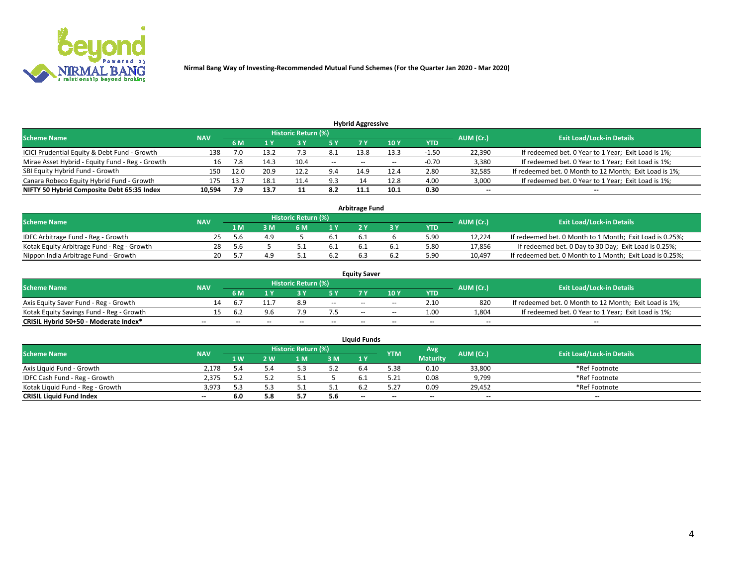

| <b>Hybrid Aggressive</b>                        |            |      |      |                     |       |       |                 |         |                          |                                                        |  |  |  |  |
|-------------------------------------------------|------------|------|------|---------------------|-------|-------|-----------------|---------|--------------------------|--------------------------------------------------------|--|--|--|--|
| <b>Scheme Name</b>                              | <b>NAV</b> |      |      | Historic Return (%) |       |       |                 |         | AUM (Cr.)                | <b>Exit Load/Lock-in Details</b>                       |  |  |  |  |
|                                                 |            | 6 M  |      |                     | 5 Y   | 7 Y   | 10 <sub>Y</sub> | YTD     |                          |                                                        |  |  |  |  |
| ICICI Prudential Equity & Debt Fund - Growth    | 138        |      | 13.2 |                     | -8.1  | 13.8  | 13.3            | $-1.50$ | 22,390                   | If redeemed bet. 0 Year to 1 Year; Exit Load is 1%;    |  |  |  |  |
| Mirae Asset Hybrid - Equity Fund - Reg - Growth |            |      | 14.3 | 10.4                | $- -$ | $- -$ | --              | $-0.70$ | 3,380                    | If redeemed bet. 0 Year to 1 Year; Exit Load is 1%;    |  |  |  |  |
| SBI Equity Hybrid Fund - Growth                 | 150        | 12.0 | 20.9 | 12.2                | 9.4   | 14.9  | 12.4            | 2.80    | 32,585                   | If redeemed bet. 0 Month to 12 Month; Exit Load is 1%; |  |  |  |  |
| Canara Robeco Equity Hybrid Fund - Growth       | 175        | 13.7 | 18.1 | 11.4                | 9.3   |       | 12.8            | 4.00    | 3,000                    | If redeemed bet. 0 Year to 1 Year; Exit Load is 1%;    |  |  |  |  |
| NIFTY 50 Hybrid Composite Debt 65:35 Index      | 10,594     |      | 13.7 |                     | 8.2   | 11.1  | 10.1            | 0.30    | $\overline{\phantom{a}}$ | $- -$                                                  |  |  |  |  |

|                                            | <b>Arbitrage Fund</b> |           |                                  |     |      |     |  |      |        |                                                          |  |  |  |  |  |
|--------------------------------------------|-----------------------|-----------|----------------------------------|-----|------|-----|--|------|--------|----------------------------------------------------------|--|--|--|--|--|
| Scheme Name                                | <b>NAV</b>            | AUM (Cr.) | <b>Exit Load/Lock-in Details</b> |     |      |     |  |      |        |                                                          |  |  |  |  |  |
|                                            |                       | 1 M       | ßΜ                               | 6 M |      |     |  | YTD  |        |                                                          |  |  |  |  |  |
| IDFC Arbitrage Fund - Reg - Growth         | 25                    | .5.b      |                                  |     | 6.1  | 6.1 |  | 5.90 | 12.224 | If redeemed bet. 0 Month to 1 Month; Exit Load is 0.25%; |  |  |  |  |  |
| Kotak Equity Arbitrage Fund - Reg - Growth | 28                    | -5.6      |                                  |     | -6.1 |     |  | 5.80 | 17,856 | If redeemed bet. 0 Day to 30 Day; Exit Load is 0.25%;    |  |  |  |  |  |
| Nippon India Arbitrage Fund - Growth       | 20                    |           |                                  |     | 6.2  |     |  | 5.90 | 10.497 | If redeemed bet. 0 Month to 1 Month; Exit Load is 0.25%; |  |  |  |  |  |

|                                          | <b>Equity Saver</b> |           |                                  |                          |                          |        |        |            |                          |                                                        |  |  |  |  |  |
|------------------------------------------|---------------------|-----------|----------------------------------|--------------------------|--------------------------|--------|--------|------------|--------------------------|--------------------------------------------------------|--|--|--|--|--|
| Scheme Name                              | <b>NAV</b>          | AUM (Cr.) | <b>Exit Load/Lock-in Details</b> |                          |                          |        |        |            |                          |                                                        |  |  |  |  |  |
|                                          |                     | 6 M       |                                  |                          | 5 Y                      |        | 10 Y   | <b>YTD</b> |                          |                                                        |  |  |  |  |  |
| Axis Equity Saver Fund - Reg - Growth    |                     |           |                                  | 8.9                      | $\sim$                   | $- -$  | $\sim$ | 2.10       | 820                      | If redeemed bet. 0 Month to 12 Month; Exit Load is 1%; |  |  |  |  |  |
| Kotak Equity Savings Fund - Reg - Growth |                     | b.2       |                                  |                          |                          | $- -$  | $- -$  | 1.00       | 1,804                    | If redeemed bet. 0 Year to 1 Year; Exit Load is 1%;    |  |  |  |  |  |
| CRISIL Hybrid 50+50 - Moderate Index*    |                     | --        | $-$                              | $\overline{\phantom{a}}$ | $\overline{\phantom{a}}$ | $\sim$ | --     | $- -$      | $\overline{\phantom{a}}$ | $-$                                                    |  |  |  |  |  |

| <b>Liquid Funds</b>              |            |      |     |                            |      |                          |            |                 |           |                                  |  |  |  |  |
|----------------------------------|------------|------|-----|----------------------------|------|--------------------------|------------|-----------------|-----------|----------------------------------|--|--|--|--|
| Scheme Name                      | <b>NAV</b> |      |     | <b>Historic Return (%)</b> |      |                          | <b>YTM</b> | Avg             | AUM (Cr.) | <b>Exit Load/Lock-in Details</b> |  |  |  |  |
|                                  |            | 1 W. | 2 W | 1 M                        | 3 M  | 71 Y                     |            | <b>Maturity</b> |           |                                  |  |  |  |  |
| Axis Liquid Fund - Growth        | 2.178      |      |     |                            | 5.2  |                          | 5.38       | 0.10            | 33,800    | *Ref Footnote                    |  |  |  |  |
| IDFC Cash Fund - Reg - Growth    | 2,375      |      |     |                            |      |                          | 5.21       | 0.08            | 9,799     | *Ref Footnote                    |  |  |  |  |
| Kotak Liquid Fund - Reg - Growth | 3,973      |      |     |                            | ۰۰ ت |                          |            | 0.09            | 29,452    | *Ref Footnote                    |  |  |  |  |
| <b>CRISIL Liquid Fund Index</b>  | $\sim$     | 6.0  |     |                            | 5.6  | $\overline{\phantom{a}}$ | $-$        | $- -$           | $\sim$    | $\sim$                           |  |  |  |  |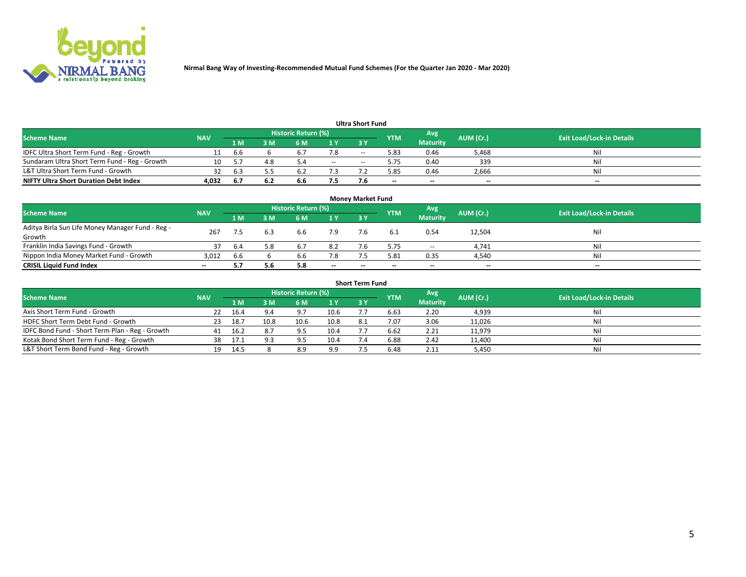

| <b>Ultra Short Fund</b>                       |            |      |      |                            |     |       |            |                 |           |                                  |  |  |  |  |
|-----------------------------------------------|------------|------|------|----------------------------|-----|-------|------------|-----------------|-----------|----------------------------------|--|--|--|--|
| <b>Scheme Name</b>                            | <b>NAV</b> |      |      | <b>Historic Return (%)</b> |     |       | <b>YTM</b> | Avg             | AUM (Cr.) | <b>Exit Load/Lock-in Details</b> |  |  |  |  |
|                                               |            | 1 M  | 3 M  | 6 M                        | 1 Y | 3 Y   |            | <b>Maturity</b> |           |                                  |  |  |  |  |
| IDFC Ultra Short Term Fund - Reg - Growth     |            | .bb  |      | $\mathbf{b}$               | 7.8 | $- -$ | 5.83       | 0.46            | 5,468     | Nil                              |  |  |  |  |
| Sundaram Ultra Short Term Fund - Reg - Growth |            |      | 4.8  |                            | $-$ | --    | 5.75       | 0.40            | 339       | Nil                              |  |  |  |  |
| L&T Ultra Short Term Fund - Growth            |            | 6.3  |      |                            |     |       | .85        | 0.46            | 2,666     | Nil                              |  |  |  |  |
| <b>NIFTY Ultra Short Duration Debt Index</b>  | 4,032      | -6.7 | -6.2 | 6.6                        | 7.5 |       | $\sim$     | $\sim$          | $\sim$    | $- -$                            |  |  |  |  |

| <b>Money Market Fund</b>                         |            |      |     |                     |        |    |            |                 |           |                                  |  |  |  |
|--------------------------------------------------|------------|------|-----|---------------------|--------|----|------------|-----------------|-----------|----------------------------------|--|--|--|
| <b>Scheme Name</b>                               | <b>NAV</b> |      |     | Historic Return (%) |        |    | <b>YTM</b> | 'Avg            | AUM (Cr.) | <b>Exit Load/Lock-in Details</b> |  |  |  |
|                                                  |            | 1 M  | 3 M | 6 M                 | 1 Y    | 3Y |            | <b>Maturity</b> |           |                                  |  |  |  |
| Aditya Birla Sun Life Money Manager Fund - Reg - | 267        |      | 6.3 | 6.6                 | 7.9    |    |            | 0.54            | 12,504    | Nil                              |  |  |  |
| Growth                                           |            |      |     |                     |        |    |            |                 |           |                                  |  |  |  |
| Franklin India Savings Fund - Growth             | 37         | -6.4 | 5.8 | 6.7                 | 8.2    |    | 5.75       | $\sim$          | 4,741     | Nil                              |  |  |  |
| Nippon India Money Market Fund - Growth          | 3,012      | 6.6  |     | 6.6                 | 7.8    |    | 5.81       | 0.35            | 4,540     | Nil                              |  |  |  |
| <b>CRISIL Liquid Fund Index</b>                  | $- -$      |      | 5.6 | 5.8                 | $\sim$ | -- | --         | $\sim$          | $\sim$    | $\sim$                           |  |  |  |

| <b>Short Term Fund</b>                          |            |      |      |                            |      |           |            |                 |           |                                  |  |  |  |  |
|-------------------------------------------------|------------|------|------|----------------------------|------|-----------|------------|-----------------|-----------|----------------------------------|--|--|--|--|
| <b>Scheme Name</b>                              | <b>NAV</b> |      |      | <b>Historic Return (%)</b> |      |           | <b>YTM</b> | Avg             | AUM (Cr.) | <b>Exit Load/Lock-in Details</b> |  |  |  |  |
|                                                 |            | 1 M  | 3 M  | 6 M                        | 1Y   | <b>3Y</b> |            | <b>Maturity</b> |           |                                  |  |  |  |  |
| Axis Short Term Fund - Growth                   |            | 16.4 | 9.4  | 9.7                        | 10.6 |           | 6.63       | 2.20            | 4,939     | Nil                              |  |  |  |  |
| HDFC Short Term Debt Fund - Growth              | 23         | 18.7 | 10.8 | 10.6                       | 10.8 | 8.1       | 7.07       | 3.06            | 11,026    | Nil                              |  |  |  |  |
| IDFC Bond Fund - Short Term Plan - Reg - Growth | 41         | 16.2 | 8.7  | 9.5                        | 10.4 |           | 6.62       | 2.21            | 11,979    | Nil                              |  |  |  |  |
| Kotak Bond Short Term Fund - Reg - Growth       | 38         | 17.1 | 9.3  | 9.5                        | 10.4 |           | 6.88       | 2.42            | 11,400    | Nil                              |  |  |  |  |
| L&T Short Term Bond Fund - Reg - Growth         | 19.        | 14.5 |      | 8.9                        | 9.9  |           | 6.48       | 2.11            | 5,450     | Nil                              |  |  |  |  |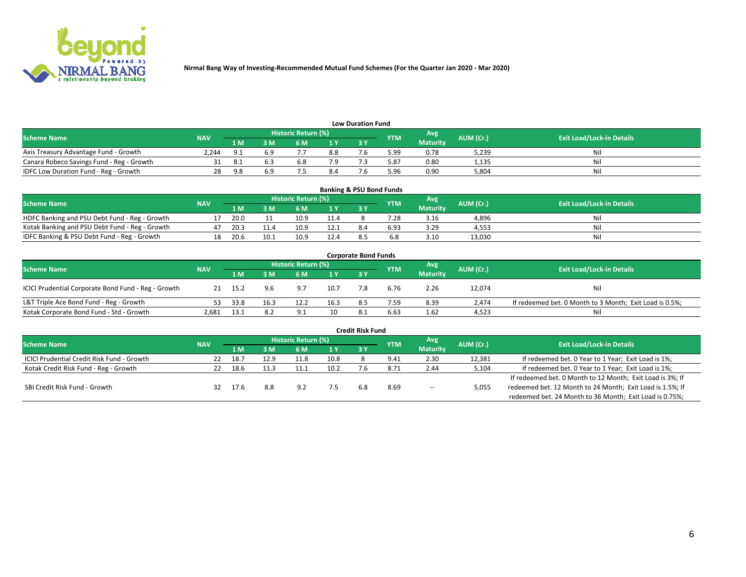

| <b>Low Duration Fund</b>                  |            |       |     |                            |     |    |            |                 |           |                                  |  |  |  |  |
|-------------------------------------------|------------|-------|-----|----------------------------|-----|----|------------|-----------------|-----------|----------------------------------|--|--|--|--|
| <b>Scheme Name</b>                        | <b>NAV</b> |       |     | <b>Historic Return (%)</b> |     |    | <b>YTM</b> | Avg             | AUM (Cr.) | <b>Exit Load/Lock-in Details</b> |  |  |  |  |
|                                           |            | 1 M   | ያ M | 5 M                        | 1 V | 2V |            | <b>Maturity</b> |           |                                  |  |  |  |  |
| Axis Treasury Advantage Fund - Growth     | 2.244      | o 1   | 6.9 |                            | 8.8 |    | 5.99       | 0.78            | 5,239     | Nil                              |  |  |  |  |
| Canara Robeco Savings Fund - Reg - Growth |            |       |     | b.ŏ                        |     |    | 5.87       | 0.80            | 1,135     | Nil                              |  |  |  |  |
| IDFC Low Duration Fund - Reg - Growth     | 28         | - Q R | 6.9 |                            |     |    | 5.96       | 0.90            | 5,804     | Nil                              |  |  |  |  |

| <b>Banking &amp; PSU Bond Funds</b>            |            |      |      |                     |      |           |            |                 |           |                                  |  |  |  |
|------------------------------------------------|------------|------|------|---------------------|------|-----------|------------|-----------------|-----------|----------------------------------|--|--|--|
| <b>Scheme Name</b>                             | <b>NAV</b> |      |      | Historic Return (%) |      |           | <b>YTM</b> | Avg             | AUM (Cr.) | <b>Exit Load/Lock-in Details</b> |  |  |  |
|                                                |            | 1 M' | 8 M  |                     |      | <b>3Y</b> |            | <b>Maturity</b> |           |                                  |  |  |  |
| HDFC Banking and PSU Debt Fund - Reg - Growth  |            | 20.0 |      | 10.5                | 11.4 |           | .28        | 3.16            | 4,896     | Nil                              |  |  |  |
| Kotak Banking and PSU Debt Fund - Reg - Growth | 47         | 20.3 | 11.4 | 10.9                | 12.1 | 8.4       | 6.93       | 3.29            | 4,553     | Nil                              |  |  |  |
| IDFC Banking & PSU Debt Fund - Reg - Growth    |            | 20.6 | 10.1 | 10.9                | 12.4 |           |            | 3.10            | 13.030    | Nil                              |  |  |  |

| <b>Corporate Bond Funds</b>                         |            |       |      |                            |      |            |            |                 |           |                                                         |  |  |  |
|-----------------------------------------------------|------------|-------|------|----------------------------|------|------------|------------|-----------------|-----------|---------------------------------------------------------|--|--|--|
| <b>Scheme Name</b>                                  | <b>NAV</b> |       |      | <b>Historic Return (%)</b> |      |            | <b>YTM</b> | Avg             | AUM (Cr.) | <b>Exit Load/Lock-in Details</b>                        |  |  |  |
|                                                     |            | 1 M   | 3 M  | 6 M                        | 1 Y  | <b>3 Y</b> |            | <b>Maturity</b> |           |                                                         |  |  |  |
| ICICI Prudential Corporate Bond Fund - Reg - Growth |            | -15.2 | 9.6  | 9.7                        | 10.7 |            | 6.76       | 2.26            | 12,074    | Nil                                                     |  |  |  |
| L&T Triple Ace Bond Fund - Reg - Growth             |            | 33.8  | 16.3 | 12.2                       | 16.3 | 8.5        | 7.59       | 8.39            | 2.474     | If redeemed bet. 0 Month to 3 Month; Exit Load is 0.5%; |  |  |  |
| Kotak Corporate Bond Fund - Std - Growth            | 2.681      | 13.1  | 8.2  | Q.<br>◡.                   | 10   |            | 6.63       | 1.62            | 4,523     | Nil                                                     |  |  |  |

| <b>Credit Risk Fund</b>                    |            |      |      |                            |      |    |               |                 |           |                                                           |  |  |  |
|--------------------------------------------|------------|------|------|----------------------------|------|----|---------------|-----------------|-----------|-----------------------------------------------------------|--|--|--|
| <b>Scheme Name</b>                         | <b>NAV</b> |      |      | <b>Historic Return (%)</b> |      |    | <b>YTM</b>    | Avg             | AUM (Cr.) | <b>Exit Load/Lock-in Details</b>                          |  |  |  |
|                                            |            | 1 M  | : M  | 6 M                        | 1 Y  | 3Y |               | <b>Maturity</b> |           |                                                           |  |  |  |
| ICICI Prudential Credit Risk Fund - Growth | 22         | 18.7 | 12.9 | 11.8                       | 10.8 |    | 9.41          | 2.30            | 12,381    | If redeemed bet. 0 Year to 1 Year; Exit Load is 1%;       |  |  |  |
| Kotak Credit Risk Fund - Reg - Growth      |            | 18.6 | -1.3 |                            | 10.2 |    | $8.7^{\circ}$ | 2.44            | 5,104     | If redeemed bet. 0 Year to 1 Year; Exit Load is 1%;       |  |  |  |
|                                            |            |      |      |                            |      |    |               |                 |           | If redeemed bet. 0 Month to 12 Month; Exit Load is 3%; If |  |  |  |
| SBI Credit Risk Fund - Growth              |            | 17.6 | 8.8  | Q <sub>0</sub>             |      |    | 8.69          | $\sim$ $\sim$   | 5,055     | redeemed bet. 12 Month to 24 Month; Exit Load is 1.5%; If |  |  |  |
|                                            |            |      |      |                            |      |    |               |                 |           | redeemed bet. 24 Month to 36 Month; Exit Load is 0.75%;   |  |  |  |